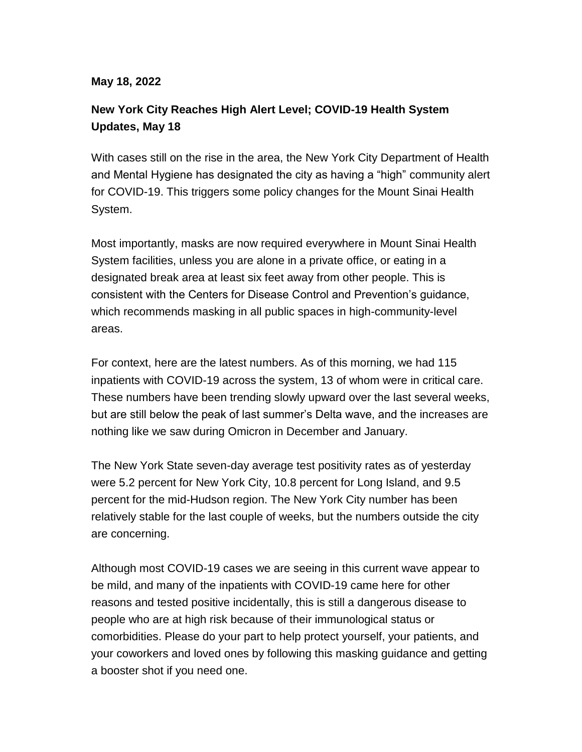## **May 18, 2022**

## **New York City Reaches High Alert Level; COVID-19 Health System Updates, May 18**

With cases still on the rise in the area, the New York City Department of Health and Mental Hygiene has designated the city as having a "high" community alert for COVID-19. This triggers some policy changes for the Mount Sinai Health System.

Most importantly, masks are now required everywhere in Mount Sinai Health System facilities, unless you are alone in a private office, or eating in a designated break area at least six feet away from other people. This is consistent with the Centers for Disease Control and Prevention's guidance, which recommends masking in all public spaces in high-community-level areas.

For context, here are the latest numbers. As of this morning, we had 115 inpatients with COVID-19 across the system, 13 of whom were in critical care. These numbers have been trending slowly upward over the last several weeks, but are still below the peak of last summer's Delta wave, and the increases are nothing like we saw during Omicron in December and January.

The New York State seven-day average test positivity rates as of yesterday were 5.2 percent for New York City, 10.8 percent for Long Island, and 9.5 percent for the mid-Hudson region. The New York City number has been relatively stable for the last couple of weeks, but the numbers outside the city are concerning.

Although most COVID-19 cases we are seeing in this current wave appear to be mild, and many of the inpatients with COVID-19 came here for other reasons and tested positive incidentally, this is still a dangerous disease to people who are at high risk because of their immunological status or comorbidities. Please do your part to help protect yourself, your patients, and your coworkers and loved ones by following this masking guidance and getting a booster shot if you need one.